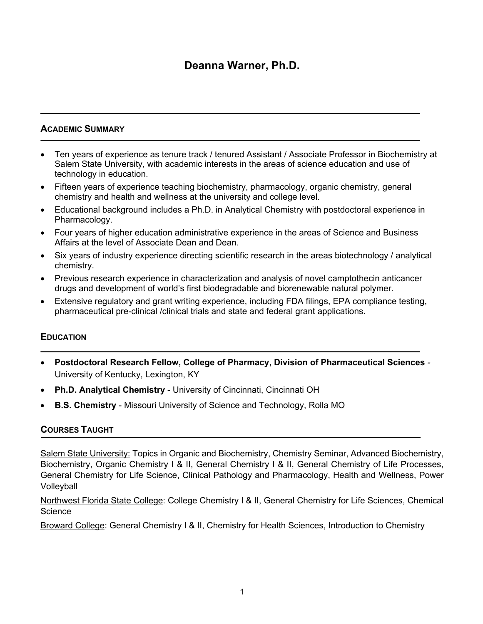# **Deanna Warner, Ph.D.**

### **ACADEMIC SUMMARY**

- Ten years of experience as tenure track / tenured Assistant / Associate Professor in Biochemistry at Salem State University, with academic interests in the areas of science education and use of technology in education.
- Fifteen years of experience teaching biochemistry, pharmacology, organic chemistry, general chemistry and health and wellness at the university and college level.
- Educational background includes a Ph.D. in Analytical Chemistry with postdoctoral experience in Pharmacology.
- Four years of higher education administrative experience in the areas of Science and Business Affairs at the level of Associate Dean and Dean.
- Six years of industry experience directing scientific research in the areas biotechnology / analytical chemistry.
- Previous research experience in characterization and analysis of novel camptothecin anticancer drugs and development of world's first biodegradable and biorenewable natural polymer.
- Extensive regulatory and grant writing experience, including FDA filings, EPA compliance testing, pharmaceutical pre-clinical /clinical trials and state and federal grant applications.

### **EDUCATION**

- **Postdoctoral Research Fellow, College of Pharmacy, Division of Pharmaceutical Sciences** *-* University of Kentucky, Lexington, KY
- **Ph.D. Analytical Chemistry**  University of Cincinnati, Cincinnati OH
- **B.S. Chemistry**  Missouri University of Science and Technology, Rolla MO

### **COURSES TAUGHT**

Salem State University: Topics in Organic and Biochemistry, Chemistry Seminar, Advanced Biochemistry, Biochemistry, Organic Chemistry I & II, General Chemistry I & II, General Chemistry of Life Processes, General Chemistry for Life Science, Clinical Pathology and Pharmacology, Health and Wellness, Power Volleyball

Northwest Florida State College: College Chemistry I & II, General Chemistry for Life Sciences, Chemical **Science** 

Broward College: General Chemistry I & II, Chemistry for Health Sciences, Introduction to Chemistry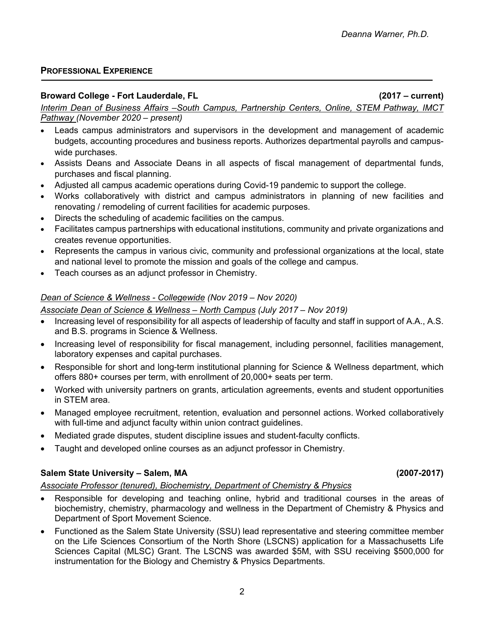# **PROFESSIONAL EXPERIENCE**

### **Broward College - Fort Lauderdale, FL (2017 – current)**

*Interim Dean of Business Affairs –South Campus, Partnership Centers, Online, STEM Pathway, IMCT Pathway (November 2020 – present)*

- Leads campus administrators and supervisors in the development and management of academic budgets, accounting procedures and business reports. Authorizes departmental payrolls and campuswide purchases.
- Assists Deans and Associate Deans in all aspects of fiscal management of departmental funds, purchases and fiscal planning.
- Adjusted all campus academic operations during Covid-19 pandemic to support the college.
- Works collaboratively with district and campus administrators in planning of new facilities and renovating / remodeling of current facilities for academic purposes.
- Directs the scheduling of academic facilities on the campus.
- Facilitates campus partnerships with educational institutions, community and private organizations and creates revenue opportunities.
- Represents the campus in various civic, community and professional organizations at the local, state and national level to promote the mission and goals of the college and campus.
- Teach courses as an adjunct professor in Chemistry.

# *Dean of Science & Wellness - Collegewide (Nov 2019 – Nov 2020)*

### *Associate Dean of Science & Wellness – North Campus (July 2017 – Nov 2019)*

- Increasing level of responsibility for all aspects of leadership of faculty and staff in support of A.A., A.S. and B.S. programs in Science & Wellness.
- Increasing level of responsibility for fiscal management, including personnel, facilities management, laboratory expenses and capital purchases.
- Responsible for short and long-term institutional planning for Science & Wellness department, which offers 880+ courses per term, with enrollment of 20,000+ seats per term.
- Worked with university partners on grants, articulation agreements, events and student opportunities in STEM area.
- Managed employee recruitment, retention, evaluation and personnel actions. Worked collaboratively with full-time and adjunct faculty within union contract guidelines.
- Mediated grade disputes, student discipline issues and student-faculty conflicts.
- Taught and developed online courses as an adjunct professor in Chemistry.

# **Salem State University – Salem, MA (2007-2017)**

### *Associate Professor (tenured), Biochemistry, Department of Chemistry & Physics*

- Responsible for developing and teaching online, hybrid and traditional courses in the areas of biochemistry, chemistry, pharmacology and wellness in the Department of Chemistry & Physics and Department of Sport Movement Science.
- Functioned as the Salem State University (SSU) lead representative and steering committee member on the Life Sciences Consortium of the North Shore (LSCNS) application for a Massachusetts Life Sciences Capital (MLSC) Grant. The LSCNS was awarded \$5M, with SSU receiving \$500,000 for instrumentation for the Biology and Chemistry & Physics Departments.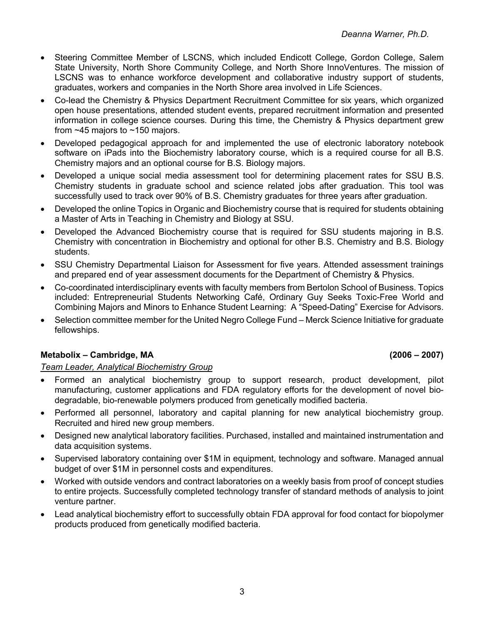- Steering Committee Member of LSCNS, which included Endicott College, Gordon College, Salem State University, North Shore Community College, and North Shore InnoVentures. The mission of LSCNS was to enhance workforce development and collaborative industry support of students, graduates, workers and companies in the North Shore area involved in Life Sciences.
- Co-lead the Chemistry & Physics Department Recruitment Committee for six years, which organized open house presentations, attended student events, prepared recruitment information and presented information in college science courses. During this time, the Chemistry & Physics department grew from ~45 majors to ~150 majors.
- Developed pedagogical approach for and implemented the use of electronic laboratory notebook software on iPads into the Biochemistry laboratory course, which is a required course for all B.S. Chemistry majors and an optional course for B.S. Biology majors.
- Developed a unique social media assessment tool for determining placement rates for SSU B.S. Chemistry students in graduate school and science related jobs after graduation. This tool was successfully used to track over 90% of B.S. Chemistry graduates for three years after graduation.
- Developed the online Topics in Organic and Biochemistry course that is required for students obtaining a Master of Arts in Teaching in Chemistry and Biology at SSU.
- Developed the Advanced Biochemistry course that is required for SSU students majoring in B.S. Chemistry with concentration in Biochemistry and optional for other B.S. Chemistry and B.S. Biology students.
- SSU Chemistry Departmental Liaison for Assessment for five years. Attended assessment trainings and prepared end of year assessment documents for the Department of Chemistry & Physics.
- Co-coordinated interdisciplinary events with faculty members from Bertolon School of Business. Topics included: Entrepreneurial Students Networking Café, Ordinary Guy Seeks Toxic-Free World and Combining Majors and Minors to Enhance Student Learning: A "Speed-Dating" Exercise for Advisors.
- Selection committee member for the United Negro College Fund Merck Science Initiative for graduate fellowships.

# **Metabolix – Cambridge, MA (2006 – 2007)**

### *Team Leader, Analytical Biochemistry Group*

- Formed an analytical biochemistry group to support research, product development, pilot manufacturing, customer applications and FDA regulatory efforts for the development of novel biodegradable, bio-renewable polymers produced from genetically modified bacteria.
- Performed all personnel, laboratory and capital planning for new analytical biochemistry group. Recruited and hired new group members.
- Designed new analytical laboratory facilities. Purchased, installed and maintained instrumentation and data acquisition systems.
- Supervised laboratory containing over \$1M in equipment, technology and software. Managed annual budget of over \$1M in personnel costs and expenditures.
- Worked with outside vendors and contract laboratories on a weekly basis from proof of concept studies to entire projects. Successfully completed technology transfer of standard methods of analysis to joint venture partner.
- Lead analytical biochemistry effort to successfully obtain FDA approval for food contact for biopolymer products produced from genetically modified bacteria.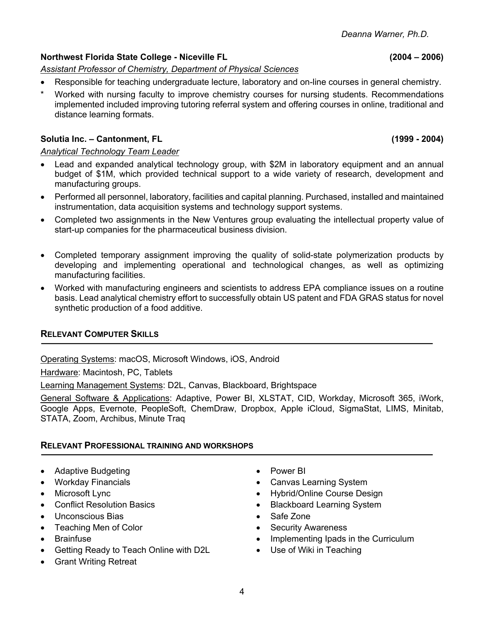4

# **Northwest Florida State College - Niceville FL (2004 – 2006)**

# *Assistant Professor of Chemistry, Department of Physical Sciences*

- Responsible for teaching undergraduate lecture, laboratory and on-line courses in general chemistry.
- Worked with nursing faculty to improve chemistry courses for nursing students. Recommendations implemented included improving tutoring referral system and offering courses in online, traditional and distance learning formats.

# **Solutia Inc. – Cantonment, FL (1999 - 2004)**

### *Analytical Technology Team Leader*

- Lead and expanded analytical technology group, with \$2M in laboratory equipment and an annual budget of \$1M, which provided technical support to a wide variety of research, development and manufacturing groups.
- Performed all personnel, laboratory, facilities and capital planning. Purchased, installed and maintained instrumentation, data acquisition systems and technology support systems.
- Completed two assignments in the New Ventures group evaluating the intellectual property value of start-up companies for the pharmaceutical business division.
- Completed temporary assignment improving the quality of solid-state polymerization products by developing and implementing operational and technological changes, as well as optimizing manufacturing facilities.
- Worked with manufacturing engineers and scientists to address EPA compliance issues on a routine basis. Lead analytical chemistry effort to successfully obtain US patent and FDA GRAS status for novel synthetic production of a food additive.

# **RELEVANT COMPUTER SKILLS**

Operating Systems: macOS, Microsoft Windows, iOS, Android

Hardware: Macintosh, PC, Tablets

Learning Management Systems: D2L, Canvas, Blackboard, Brightspace

General Software & Applications: Adaptive, Power BI, XLSTAT, CID, Workday, Microsoft 365, iWork, Google Apps, Evernote, PeopleSoft, ChemDraw, Dropbox, Apple iCloud, SigmaStat, LIMS, Minitab, STATA, Zoom, Archibus, Minute Traq

# **RELEVANT PROFESSIONAL TRAINING AND WORKSHOPS**

- Adaptive Budgeting
- Workday Financials
- Microsoft Lync
- Conflict Resolution Basics
- Unconscious Bias
- Teaching Men of Color
- **Brainfuse**
- Getting Ready to Teach Online with D2L
- Grant Writing Retreat
- Power BI
- Canvas Learning System
- Hybrid/Online Course Design
- Blackboard Learning System
- Safe Zone
- **Security Awareness**
- Implementing Ipads in the Curriculum
- Use of Wiki in Teaching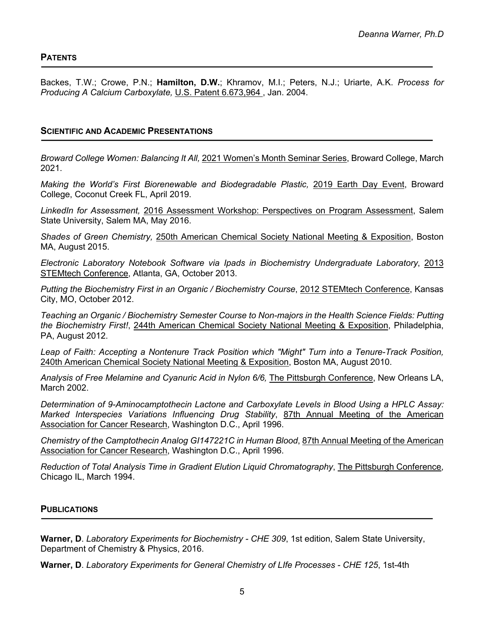Backes, T.W.; Crowe, P.N.; **Hamilton, D.W.**; Khramov, M.I.; Peters, N.J.; Uriarte, A.K. *Process for Producing A Calcium Carboxylate,* U.S. Patent 6.673,964 , Jan. 2004.

### **SCIENTIFIC AND ACADEMIC PRESENTATIONS**

*Broward College Women: Balancing It All,* 2021 Women's Month Seminar Series, Broward College, March 2021.

*Making the World's First Biorenewable and Biodegradable Plastic,* 2019 Earth Day Event, Broward College, Coconut Creek FL, April 2019.

*LinkedIn for Assessment,* 2016 Assessment Workshop: Perspectives on Program Assessment, Salem State University, Salem MA, May 2016.

*Shades of Green Chemistry,* 250th American Chemical Society National Meeting & Exposition, Boston MA, August 2015.

*Electronic Laboratory Notebook Software via Ipads in Biochemistry Undergraduate Laboratory*, 2013 STEMtech Conference, Atlanta, GA, October 2013.

*Putting the Biochemistry First in an Organic / Biochemistry Course*, 2012 STEMtech Conference, Kansas City, MO, October 2012.

*Teaching an Organic / Biochemistry Semester Course to Non-majors in the Health Science Fields: Putting the Biochemistry First!*, 244th American Chemical Society National Meeting & Exposition, Philadelphia, PA, August 2012.

Leap of Faith: Accepting a Nontenure Track Position which "Might" Turn into a Tenure-Track Position, 240th American Chemical Society National Meeting & Exposition, Boston MA, August 2010.

*Analysis of Free Melamine and Cyanuric Acid in Nylon 6/6,* The Pittsburgh Conference, New Orleans LA, March 2002.

*Determination of 9-Aminocamptothecin Lactone and Carboxylate Levels in Blood Using a HPLC Assay: Marked Interspecies Variations Influencing Drug Stability*, 87th Annual Meeting of the American Association for Cancer Research, Washington D.C., April 1996.

*Chemistry of the Camptothecin Analog GI147221C in Human Blood*, 87th Annual Meeting of the American Association for Cancer Research, Washington D.C., April 1996.

*Reduction of Total Analysis Time in Gradient Elution Liquid Chromatography*, The Pittsburgh Conference, Chicago IL, March 1994.

### **PUBLICATIONS**

**Warner, D**. *Laboratory Experiments for Biochemistry - CHE 309*, 1st edition, Salem State University, Department of Chemistry & Physics, 2016.

**Warner, D**. *Laboratory Experiments for General Chemistry of LIfe Processes - CHE 125*, 1st-4th